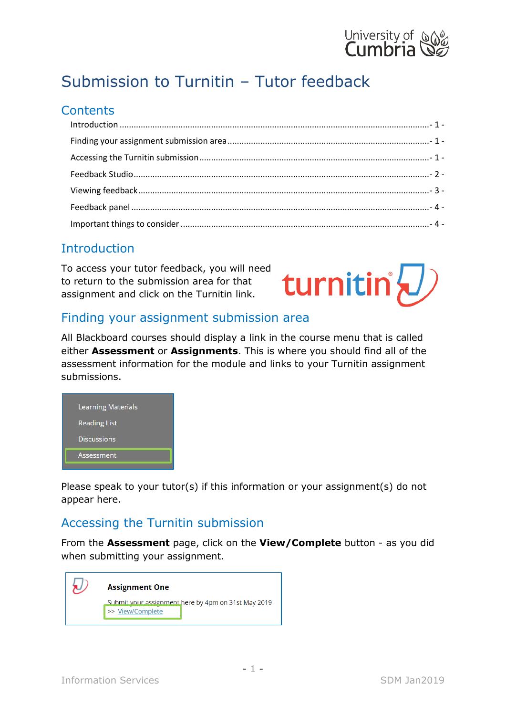

# Submission to Turnitin – Tutor feedback

#### **Contents**

#### <span id="page-0-0"></span>**Introduction**

To access your tutor feedback, you will need to return to the submission area for that assignment and click on the Turnitin link.



#### <span id="page-0-1"></span>Finding your assignment submission area

All Blackboard courses should display a link in the course menu that is called either **Assessment** or **Assignments**. This is where you should find all of the assessment information for the module and links to your Turnitin assignment submissions.



Please speak to your tutor(s) if this information or your assignment(s) do not appear here.

#### <span id="page-0-2"></span>Accessing the Turnitin submission

From the **Assessment** page, click on the **View/Complete** button - as you did when submitting your assignment.

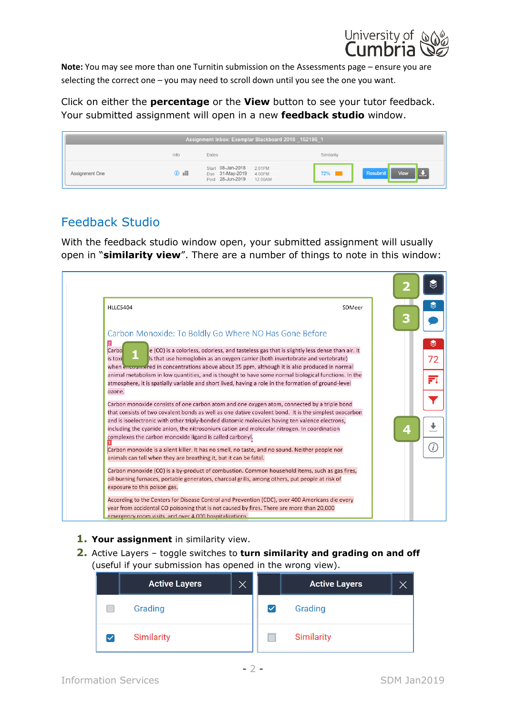

**Note:** You may see more than one Turnitin submission on the Assessments page – ensure you are selecting the correct one – you may need to scroll down until you see the one you want.

Click on either the **percentage** or the **View** button to see your tutor feedback. Your submitted assignment will open in a new **feedback studio** window.

| Assignment Inbox: Exemplar Blackboard 2018 _152186_1 |                |                                                                                      |                            |
|------------------------------------------------------|----------------|--------------------------------------------------------------------------------------|----------------------------|
|                                                      | Info           | Dates                                                                                | Similarity                 |
| Assignment One                                       | $\mathbb{R}$ 0 | Start 08-Jan-2018<br>2:01PM<br>Due 31-May-2019 4:00PM<br>Post 28-Jun-2019<br>12:00AM | View<br>Resubmit<br>$72\%$ |

#### <span id="page-1-0"></span>Feedback Studio

With the feedback studio window open, your submitted assignment will usually open in "**similarity view**". There are a number of things to note in this window:

| <b>HLLC5404</b>                                                                                                                                                                                                                                                                                    | SDMeer |
|----------------------------------------------------------------------------------------------------------------------------------------------------------------------------------------------------------------------------------------------------------------------------------------------------|--------|
| Carbon Monoxide: To Boldly Go Where NO Has Gone Before                                                                                                                                                                                                                                             |        |
|                                                                                                                                                                                                                                                                                                    |        |
| Carbo<br>e (CO) is a colorless, odorless, and tasteless gas that is slightly less dense than air. It<br>Is that use hemoglobin as an oxygen carrier (both invertebrate and vertebrate)<br>is toxi<br>when encountered in concentrations above about 35 ppm, although it is also produced in normal |        |
| animal metabolism in low quantities, and is thought to have some normal biological functions. In the                                                                                                                                                                                               |        |
| atmosphere, it is spatially variable and short lived, having a role in the formation of ground-level                                                                                                                                                                                               |        |
| ozone.                                                                                                                                                                                                                                                                                             |        |
| Carbon monoxide consists of one carbon atom and one oxygen atom, connected by a triple bond                                                                                                                                                                                                        |        |
| that consists of two covalent bonds as well as one dative covalent bond. It is the simplest oxocarbon                                                                                                                                                                                              |        |
| and is isoelectronic with other triply-bonded diatomic molecules having ten valence electrons,                                                                                                                                                                                                     |        |
| including the cyanide anion, the nitrosonium cation and molecular nitrogen. In coordination                                                                                                                                                                                                        |        |
| complexes the carbon monoxide ligand is called carbonyl.                                                                                                                                                                                                                                           |        |
| Carbon monoxide is a silent killer. It has no smell, no taste, and no sound. Neither people nor                                                                                                                                                                                                    |        |
| animals can tell when they are breathing it, but it can be fatal.                                                                                                                                                                                                                                  |        |
| Carbon monoxide (CO) is a by-product of combustion. Common household items, such as gas fires,                                                                                                                                                                                                     |        |
| oil-burning furnaces, portable generators, charcoal grills, among others, put people at risk of                                                                                                                                                                                                    |        |
| exposure to this poison gas.                                                                                                                                                                                                                                                                       |        |
| According to the Centers for Disease Control and Prevention (CDC), over 400 Americans die every                                                                                                                                                                                                    |        |
| year from accidental CO poisoning that is not caused by fires. There are more than 20,000                                                                                                                                                                                                          |        |

- **1. Your assignment** in similarity view.
- **2.** Active Layers toggle switches to **turn similarity and grading on and off** (useful if your submission has opened in the wrong view).

| <b>Active Layers</b> | Х |   | <b>Active Layers</b> |  |
|----------------------|---|---|----------------------|--|
| Grading              |   | ✓ | Grading              |  |
| Similarity           |   |   | Similarity           |  |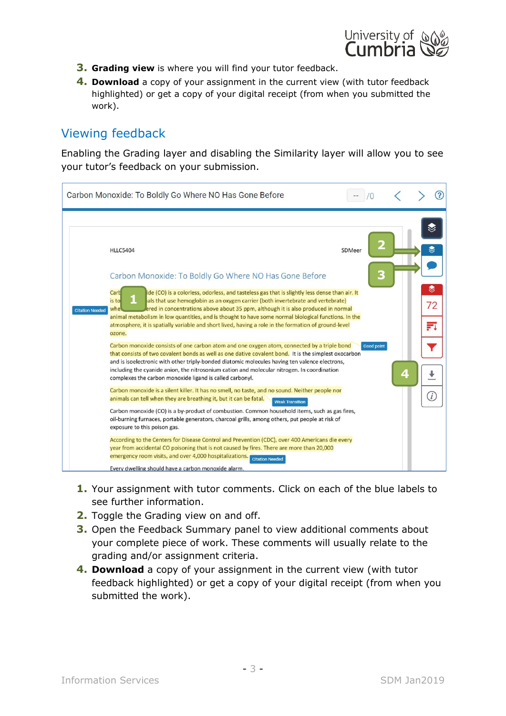

- **3. Grading view** is where you will find your tutor feedback.
- **4. Download** a copy of your assignment in the current view (with tutor feedback highlighted) or get a copy of your digital receipt (from when you submitted the work).

### <span id="page-2-0"></span>Viewing feedback

Enabling the Grading layer and disabling the Similarity layer will allow you to see your tutor's feedback on your submission.

|                        | Carbon Monoxide: To Boldly Go Where NO Has Gone Before                                                                                                                                                                                                                                                                                                                                                                                                                                                                  |                   |   | 2             |
|------------------------|-------------------------------------------------------------------------------------------------------------------------------------------------------------------------------------------------------------------------------------------------------------------------------------------------------------------------------------------------------------------------------------------------------------------------------------------------------------------------------------------------------------------------|-------------------|---|---------------|
|                        | <b>HLLC5404</b><br>Carbon Monoxide: To Boldly Go Where NO Has Gone Before                                                                                                                                                                                                                                                                                                                                                                                                                                               | SDMeer            | G |               |
| <b>Citation Needed</b> | ide (CO) is a colorless, odorless, and tasteless gas that is slightly less dense than air. It<br>Cart<br>als that use hemoglobin as an oxygen carrier (both invertebrate and vertebrate)<br>is to<br>ered in concentrations above about 35 ppm, although it is also produced in normal<br>whe<br>animal metabolism in low quantities, and is thought to have some normal biological functions. In the<br>atmosphere, it is spatially variable and short lived, having a role in the formation of ground-level<br>ozone. |                   |   | ≋<br>72<br>FΙ |
|                        | Carbon monoxide consists of one carbon atom and one oxygen atom, connected by a triple bond<br>that consists of two covalent bonds as well as one dative covalent bond. It is the simplest oxocarbon<br>and is isoelectronic with other triply-bonded diatomic molecules having ten valence electrons,<br>including the cyanide anion, the nitrosonium cation and molecular nitrogen. In coordination<br>complexes the carbon monoxide ligand is called carbonyl.                                                       | <b>Good point</b> | 4 |               |
|                        | Carbon monoxide is a silent killer. It has no smell, no taste, and no sound. Neither people nor<br>animals can tell when they are breathing it, but it can be fatal.<br><b>Weak Transition</b><br>Carbon monoxide (CO) is a by-product of combustion. Common household items, such as gas fires,<br>oil-burning furnaces, portable generators, charcoal grills, among others, put people at risk of<br>exposure to this poison gas.                                                                                     |                   |   |               |
|                        | According to the Centers for Disease Control and Prevention (CDC), over 400 Americans die every<br>year from accidental CO poisoning that is not caused by fires. There are more than 20,000<br>emergency room visits, and over 4,000 hospitalizations. Citation Needed<br>Every dwelling should have a carbon monoxide alarm.                                                                                                                                                                                          |                   |   |               |

- **1.** Your assignment with tutor comments. Click on each of the blue labels to see further information.
- **2.** Toggle the Grading view on and off.
- **3.** Open the Feedback Summary panel to view additional comments about your complete piece of work. These comments will usually relate to the grading and/or assignment criteria.
- **4. Download** a copy of your assignment in the current view (with tutor feedback highlighted) or get a copy of your digital receipt (from when you submitted the work).